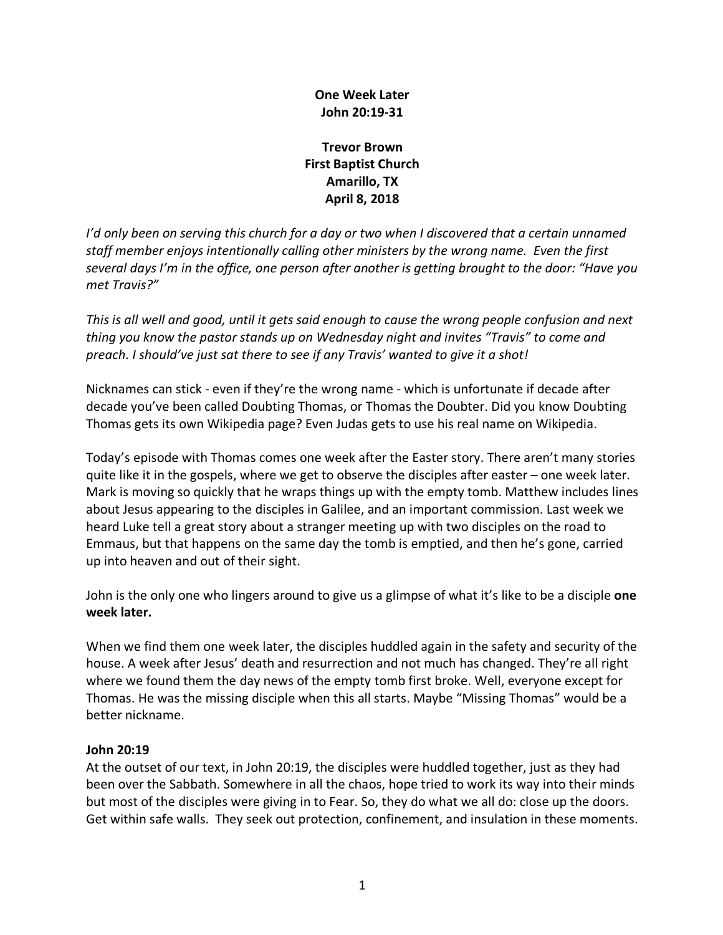## **One Week Later John 20:19-31**

**Trevor Brown First Baptist Church Amarillo, TX April 8, 2018**

*I'd only been on serving this church for a day or two when I discovered that a certain unnamed staff member enjoys intentionally calling other ministers by the wrong name. Even the first several days I'm in the office, one person after another is getting brought to the door: "Have you met Travis?"*

*This is all well and good, until it gets said enough to cause the wrong people confusion and next thing you know the pastor stands up on Wednesday night and invites "Travis" to come and preach. I should've just sat there to see if any Travis' wanted to give it a shot!*

Nicknames can stick - even if they're the wrong name - which is unfortunate if decade after decade you've been called Doubting Thomas, or Thomas the Doubter. Did you know Doubting Thomas gets its own Wikipedia page? Even Judas gets to use his real name on Wikipedia.

Today's episode with Thomas comes one week after the Easter story. There aren't many stories quite like it in the gospels, where we get to observe the disciples after easter – one week later. Mark is moving so quickly that he wraps things up with the empty tomb. Matthew includes lines about Jesus appearing to the disciples in Galilee, and an important commission. Last week we heard Luke tell a great story about a stranger meeting up with two disciples on the road to Emmaus, but that happens on the same day the tomb is emptied, and then he's gone, carried up into heaven and out of their sight.

John is the only one who lingers around to give us a glimpse of what it's like to be a disciple **one week later.**

When we find them one week later, the disciples huddled again in the safety and security of the house. A week after Jesus' death and resurrection and not much has changed. They're all right where we found them the day news of the empty tomb first broke. Well, everyone except for Thomas. He was the missing disciple when this all starts. Maybe "Missing Thomas" would be a better nickname.

#### **John 20:19**

At the outset of our text, in John 20:19, the disciples were huddled together, just as they had been over the Sabbath. Somewhere in all the chaos, hope tried to work its way into their minds but most of the disciples were giving in to Fear. So, they do what we all do: close up the doors. Get within safe walls. They seek out protection, confinement, and insulation in these moments.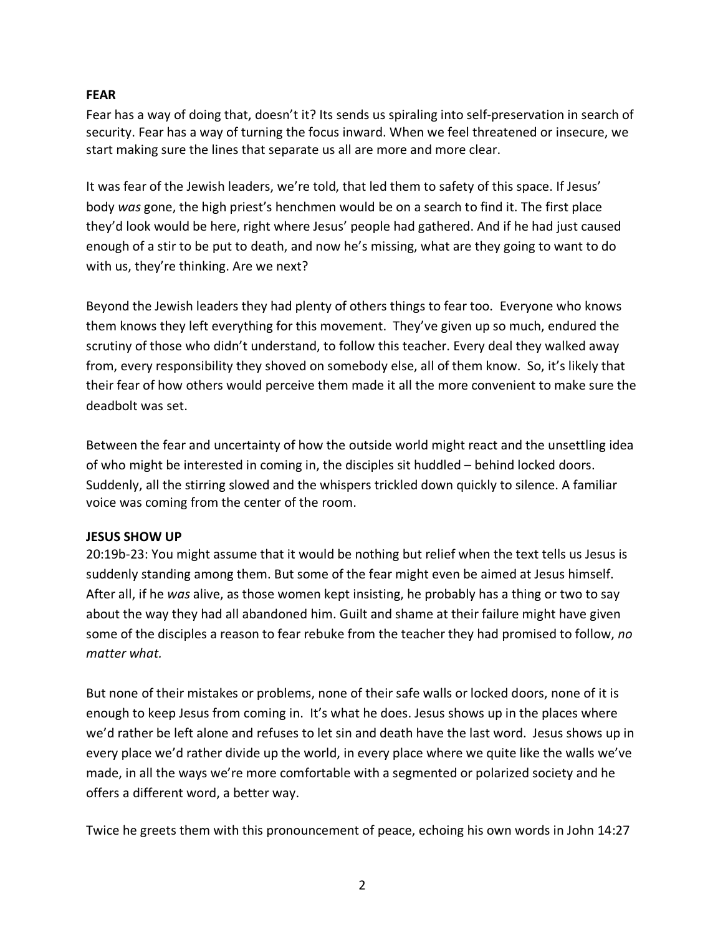#### **FEAR**

Fear has a way of doing that, doesn't it? Its sends us spiraling into self-preservation in search of security. Fear has a way of turning the focus inward. When we feel threatened or insecure, we start making sure the lines that separate us all are more and more clear.

It was fear of the Jewish leaders, we're told, that led them to safety of this space. If Jesus' body *was* gone, the high priest's henchmen would be on a search to find it. The first place they'd look would be here, right where Jesus' people had gathered. And if he had just caused enough of a stir to be put to death, and now he's missing, what are they going to want to do with us, they're thinking. Are we next?

Beyond the Jewish leaders they had plenty of others things to fear too. Everyone who knows them knows they left everything for this movement. They've given up so much, endured the scrutiny of those who didn't understand, to follow this teacher. Every deal they walked away from, every responsibility they shoved on somebody else, all of them know. So, it's likely that their fear of how others would perceive them made it all the more convenient to make sure the deadbolt was set.

Between the fear and uncertainty of how the outside world might react and the unsettling idea of who might be interested in coming in, the disciples sit huddled – behind locked doors. Suddenly, all the stirring slowed and the whispers trickled down quickly to silence. A familiar voice was coming from the center of the room.

#### **JESUS SHOW UP**

20:19b-23: You might assume that it would be nothing but relief when the text tells us Jesus is suddenly standing among them. But some of the fear might even be aimed at Jesus himself. After all, if he *was* alive, as those women kept insisting, he probably has a thing or two to say about the way they had all abandoned him. Guilt and shame at their failure might have given some of the disciples a reason to fear rebuke from the teacher they had promised to follow, *no matter what.*

But none of their mistakes or problems, none of their safe walls or locked doors, none of it is enough to keep Jesus from coming in. It's what he does. Jesus shows up in the places where we'd rather be left alone and refuses to let sin and death have the last word. Jesus shows up in every place we'd rather divide up the world, in every place where we quite like the walls we've made, in all the ways we're more comfortable with a segmented or polarized society and he offers a different word, a better way.

Twice he greets them with this pronouncement of peace, echoing his own words in John 14:27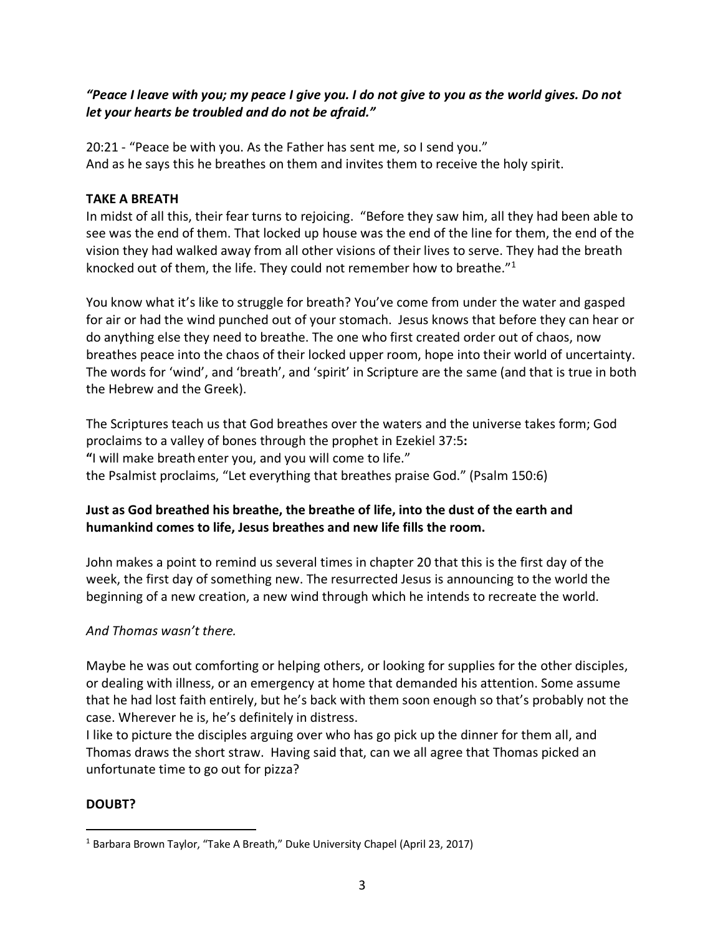# *"Peace I leave with you; my peace I give you. I do not give to you as the world gives. Do not let your hearts be troubled and do not be afraid."*

20:21 - "Peace be with you. As the Father has sent me, so I send you." And as he says this he breathes on them and invites them to receive the holy spirit.

## **TAKE A BREATH**

In midst of all this, their fear turns to rejoicing. "Before they saw him, all they had been able to see was the end of them. That locked up house was the end of the line for them, the end of the vision they had walked away from all other visions of their lives to serve. They had the breath knocked out of them, the life. They could not remember how to breathe."1

You know what it's like to struggle for breath? You've come from under the water and gasped for air or had the wind punched out of your stomach. Jesus knows that before they can hear or do anything else they need to breathe. The one who first created order out of chaos, now breathes peace into the chaos of their locked upper room, hope into their world of uncertainty. The words for 'wind', and 'breath', and 'spirit' in Scripture are the same (and that is true in both the Hebrew and the Greek).

The Scriptures teach us that God breathes over the waters and the universe takes form; God proclaims to a valley of bones through the prophet in Ezekiel 37:5**: "**I will make breath enter you, and you will come to life." the Psalmist proclaims, "Let everything that breathes praise God." (Psalm 150:6)

# **Just as God breathed his breathe, the breathe of life, into the dust of the earth and humankind comes to life, Jesus breathes and new life fills the room.**

John makes a point to remind us several times in chapter 20 that this is the first day of the week, the first day of something new. The resurrected Jesus is announcing to the world the beginning of a new creation, a new wind through which he intends to recreate the world.

## *And Thomas wasn't there.*

Maybe he was out comforting or helping others, or looking for supplies for the other disciples, or dealing with illness, or an emergency at home that demanded his attention. Some assume that he had lost faith entirely, but he's back with them soon enough so that's probably not the case. Wherever he is, he's definitely in distress.

I like to picture the disciples arguing over who has go pick up the dinner for them all, and Thomas draws the short straw. Having said that, can we all agree that Thomas picked an unfortunate time to go out for pizza?

## **DOUBT?**

<sup>&</sup>lt;sup>1</sup> Barbara Brown Taylor, "Take A Breath," Duke University Chapel (April 23, 2017)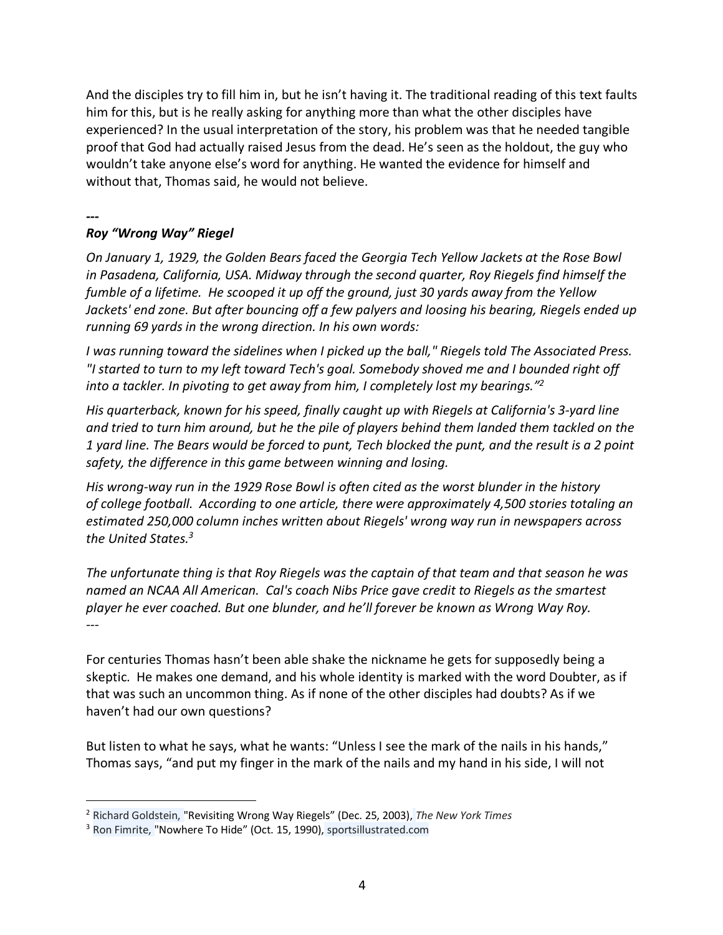And the disciples try to fill him in, but he isn't having it. The traditional reading of this text faults him for this, but is he really asking for anything more than what the other disciples have experienced? In the usual interpretation of the story, his problem was that he needed tangible proof that God had actually raised Jesus from the dead. He's seen as the holdout, the guy who wouldn't take anyone else's word for anything. He wanted the evidence for himself and without that, Thomas said, he would not believe.

#### *---*

# *Roy "Wrong Way" Riegel*

*On January 1, 1929, the Golden Bears faced the Georgia Tech Yellow Jackets at the Rose Bowl in Pasadena, California, USA. Midway through the second quarter, Roy Riegels find himself the fumble of a lifetime. He scooped it up off the ground, just 30 yards away from the Yellow Jackets' end zone. But after bouncing off a few palyers and loosing his bearing, Riegels ended up running 69 yards in the wrong direction. In his own words:*

*I was running toward the sidelines when I picked up the ball," Riegels told The Associated Press. "I started to turn to my left toward Tech's goal. Somebody shoved me and I bounded right off into a tackler. In pivoting to get away from him, I completely lost my bearings."2*

*His quarterback, known for his speed, finally caught up with Riegels at California's 3-yard line and tried to turn him around, but he the pile of players behind them landed them tackled on the 1 yard line. The Bears would be forced to punt, Tech blocked the punt, and the result is a 2 point safety, the difference in this game between winning and losing.*

*His wrong-way run in the 1929 Rose Bowl is often cited as the worst blunder in the history of college football. According to one article, there were approximately 4,500 stories totaling an estimated 250,000 column inches written about Riegels' wrong way run in newspapers across the United States.3*

*The unfortunate thing is that Roy Riegels was the captain of that team and that season he was named an NCAA All American. Cal's coach Nibs Price gave credit to Riegels as the smartest player he ever coached. But one blunder, and he'll forever be known as Wrong Way Roy. ---*

For centuries Thomas hasn't been able shake the nickname he gets for supposedly being a skeptic. He makes one demand, and his whole identity is marked with the word Doubter, as if that was such an uncommon thing. As if none of the other disciples had doubts? As if we haven't had our own questions?

But listen to what he says, what he wants: "Unless I see the mark of the nails in his hands," Thomas says, "and put my finger in the mark of the nails and my hand in his side, I will not

 <sup>2</sup> Richard Goldstein, "Revisiting Wrong Way Riegels" (Dec. 25, 2003), *The New York Times*

<sup>3</sup> Ron Fimrite, "Nowhere To Hide" (Oct. 15, 1990), sportsillustrated.com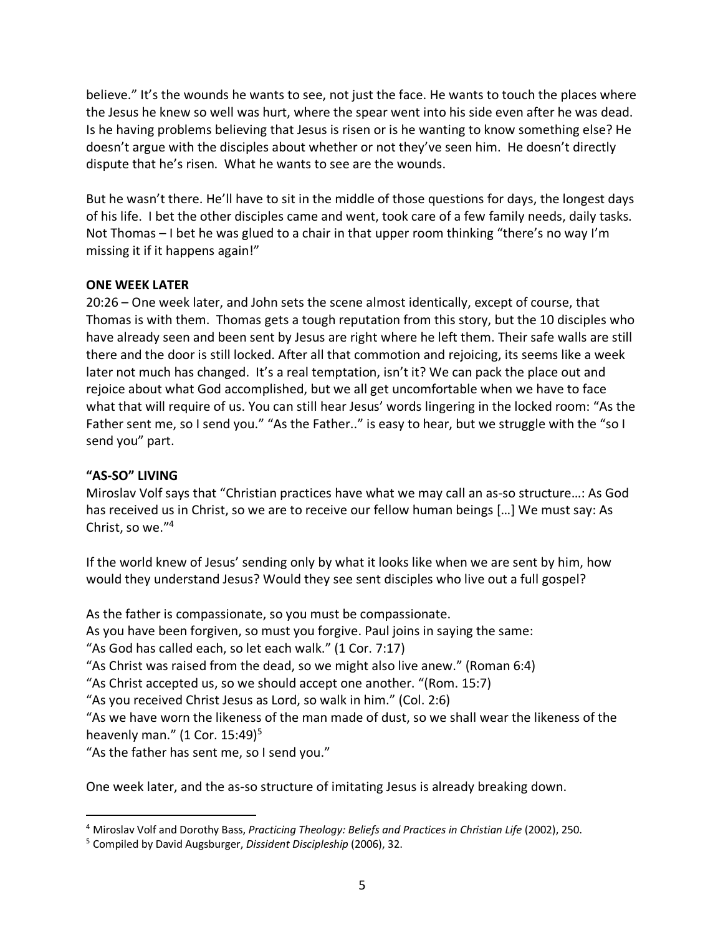believe." It's the wounds he wants to see, not just the face. He wants to touch the places where the Jesus he knew so well was hurt, where the spear went into his side even after he was dead. Is he having problems believing that Jesus is risen or is he wanting to know something else? He doesn't argue with the disciples about whether or not they've seen him. He doesn't directly dispute that he's risen. What he wants to see are the wounds.

But he wasn't there. He'll have to sit in the middle of those questions for days, the longest days of his life. I bet the other disciples came and went, took care of a few family needs, daily tasks. Not Thomas – I bet he was glued to a chair in that upper room thinking "there's no way I'm missing it if it happens again!"

## **ONE WEEK LATER**

20:26 – One week later, and John sets the scene almost identically, except of course, that Thomas is with them. Thomas gets a tough reputation from this story, but the 10 disciples who have already seen and been sent by Jesus are right where he left them. Their safe walls are still there and the door is still locked. After all that commotion and rejoicing, its seems like a week later not much has changed. It's a real temptation, isn't it? We can pack the place out and rejoice about what God accomplished, but we all get uncomfortable when we have to face what that will require of us. You can still hear Jesus' words lingering in the locked room: "As the Father sent me, so I send you." "As the Father.." is easy to hear, but we struggle with the "so I send you" part.

#### **"AS-SO" LIVING**

Miroslav Volf says that "Christian practices have what we may call an as-so structure…: As God has received us in Christ, so we are to receive our fellow human beings […] We must say: As Christ, so we."4

If the world knew of Jesus' sending only by what it looks like when we are sent by him, how would they understand Jesus? Would they see sent disciples who live out a full gospel?

As the father is compassionate, so you must be compassionate.

As you have been forgiven, so must you forgive. Paul joins in saying the same:

"As God has called each, so let each walk." (1 Cor. 7:17)

"As Christ was raised from the dead, so we might also live anew." (Roman 6:4)

"As Christ accepted us, so we should accept one another. "(Rom. 15:7)

"As you received Christ Jesus as Lord, so walk in him." (Col. 2:6)

"As we have worn the likeness of the man made of dust, so we shall wear the likeness of the heavenly man."  $(1$  Cor. 15:49)<sup>5</sup>

"As the father has sent me, so I send you."

One week later, and the as-so structure of imitating Jesus is already breaking down.

 <sup>4</sup> Miroslav Volf and Dorothy Bass, *Practicing Theology: Beliefs and Practices in Christian Life* (2002), 250.

<sup>5</sup> Compiled by David Augsburger, *Dissident Discipleship* (2006), 32.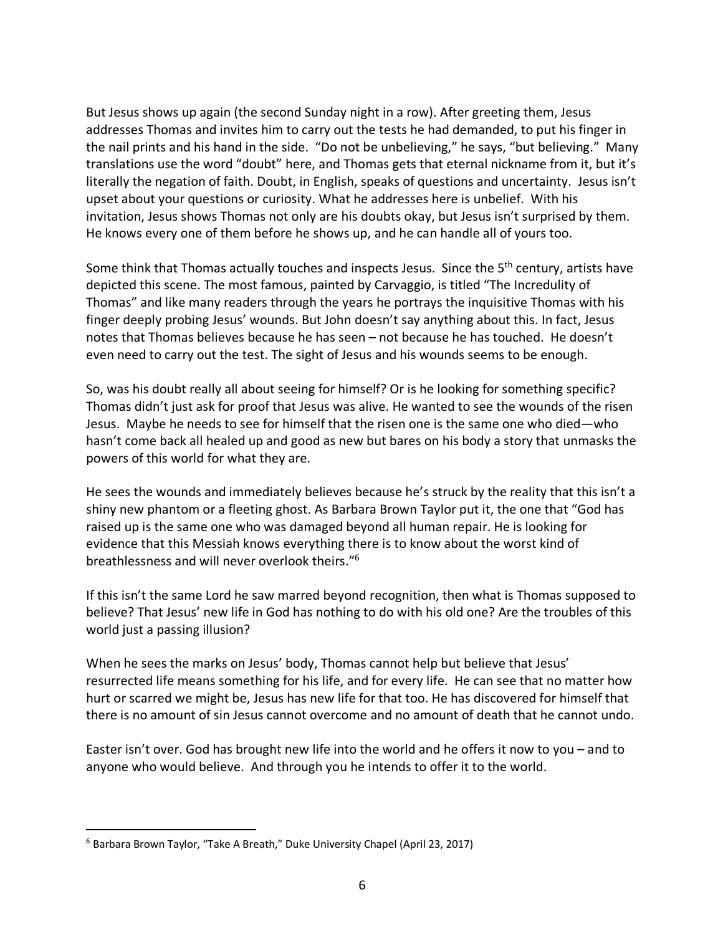But Jesus shows up again (the second Sunday night in a row). After greeting them, Jesus addresses Thomas and invites him to carry out the tests he had demanded, to put his finger in the nail prints and his hand in the side. "Do not be unbelieving," he says, "but believing." Many translations use the word "doubt" here, and Thomas gets that eternal nickname from it, but it's literally the negation of faith. Doubt, in English, speaks of questions and uncertainty. Jesus isn't upset about your questions or curiosity. What he addresses here is unbelief. With his invitation, Jesus shows Thomas not only are his doubts okay, but Jesus isn't surprised by them. He knows every one of them before he shows up, and he can handle all of yours too.

Some think that Thomas actually touches and inspects Jesus. Since the 5<sup>th</sup> century, artists have depicted this scene. The most famous, painted by Carvaggio, is titled "The Incredulity of Thomas" and like many readers through the years he portrays the inquisitive Thomas with his finger deeply probing Jesus' wounds. But John doesn't say anything about this. In fact, Jesus notes that Thomas believes because he has seen – not because he has touched. He doesn't even need to carry out the test. The sight of Jesus and his wounds seems to be enough.

So, was his doubt really all about seeing for himself? Or is he looking for something specific? Thomas didn't just ask for proof that Jesus was alive. He wanted to see the wounds of the risen Jesus. Maybe he needs to see for himself that the risen one is the same one who died—who hasn't come back all healed up and good as new but bares on his body a story that unmasks the powers of this world for what they are.

He sees the wounds and immediately believes because he's struck by the reality that this isn't a shiny new phantom or a fleeting ghost. As Barbara Brown Taylor put it, the one that "God has raised up is the same one who was damaged beyond all human repair. He is looking for evidence that this Messiah knows everything there is to know about the worst kind of breathlessness and will never overlook theirs."6

If this isn't the same Lord he saw marred beyond recognition, then what is Thomas supposed to believe? That Jesus' new life in God has nothing to do with his old one? Are the troubles of this world just a passing illusion?

When he sees the marks on Jesus' body, Thomas cannot help but believe that Jesus' resurrected life means something for his life, and for every life. He can see that no matter how hurt or scarred we might be, Jesus has new life for that too. He has discovered for himself that there is no amount of sin Jesus cannot overcome and no amount of death that he cannot undo.

Easter isn't over. God has brought new life into the world and he offers it now to you – and to anyone who would believe. And through you he intends to offer it to the world.

 <sup>6</sup> Barbara Brown Taylor, "Take A Breath," Duke University Chapel (April 23, 2017)